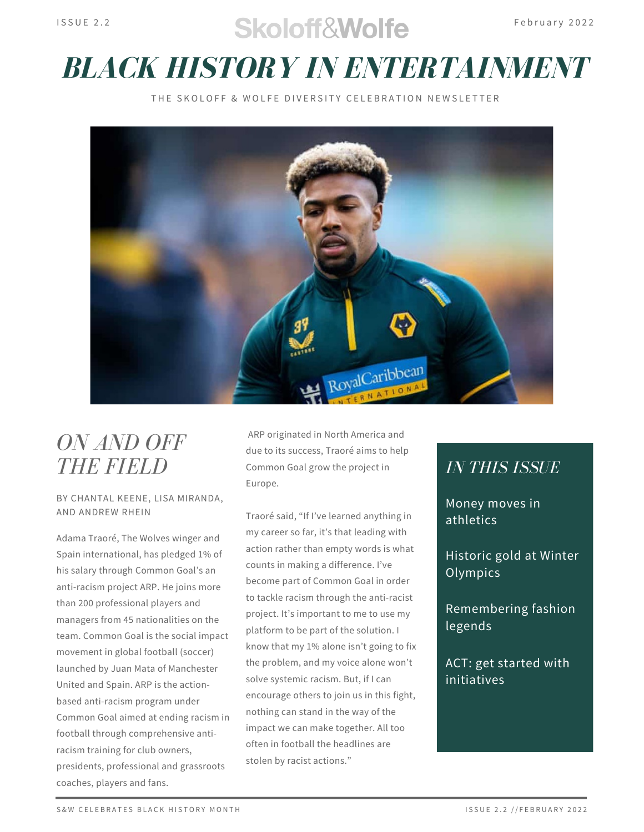## $S$ koloff $\mathcal{R}$ Wolfe February 2022

# *BLACK HISTORY IN ENTERTAINMENT*

THE SKOLOFE & WOLFE DIVERSITY CELEBRATION NEWSLETTER



## *ON AND OFF THE FIELD*

#### BY CHANTAL KEENE, LISA MIRANDA, AND ANDREW RHEIN

Adama Traoré, The Wolves winger and Spain international, has pledged 1% of his salary through Common Goal's an anti-racism project ARP. He joins more than 200 professional players and managers from 45 nationalities on the team. Common Goal is the social impact movement in global football (soccer) launched by Juan Mata of Manchester United and Spain. ARP is the actionbased anti-racism program under Common Goal aimed at ending racism in football through comprehensive antiracism training for club owners, presidents, professional and grassroots coaches, players and fans.

ARP originated in North America and due to its success, Traoré aims to help Common Goal grow the project in Europe.

Traoré said, "If I've learned anything in my career so far, it's that leading with action rather than empty words is what counts in making a difference. I've become part of Common Goal in order to tackle racism through the anti-racist project. It's important to me to use my platform to be part of the solution. I know that my 1% alone isn't going to fix the problem, and my voice alone won't solve systemic racism. But, if I can encourage others to join us in this fight, nothing can stand in the way of the impact we can make together. All too often in football the headlines are stolen by racist actions."

#### *IN THIS ISSUE*

Money moves in athletics

Historic gold at Winter **Olympics** 

Remembering fashion legends

ACT: get started with initiatives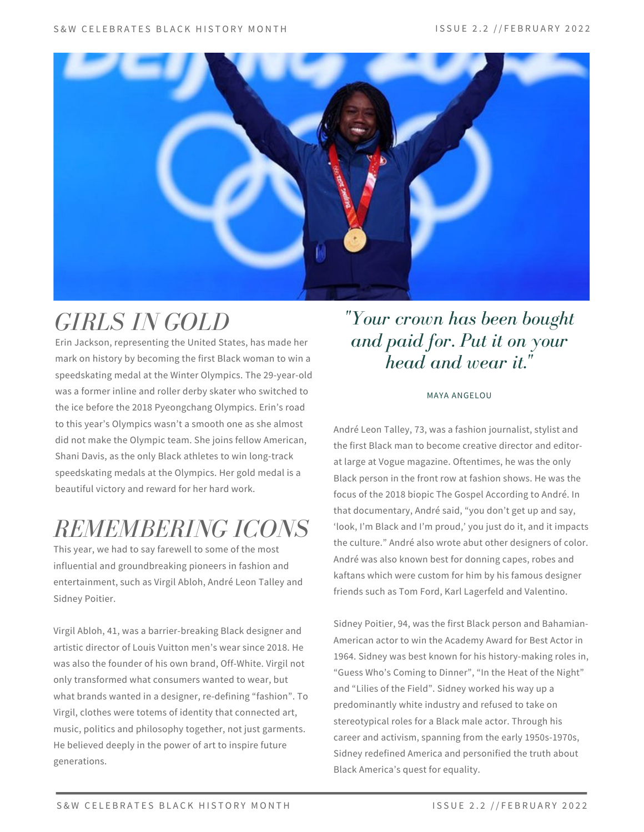

## *GIRLS IN GOLD*

Erin Jackson, representing the United States, has made her mark on history by becoming the first Black woman to win a speedskating medal at the Winter Olympics. The 29-year-old was a former inline and roller derby skater who switched to the ice before the 2018 Pyeongchang Olympics. Erin's road to this year's Olympics wasn't a smooth one as she almost did not make the Olympic team. She joins fellow American, Shani Davis, as the only Black athletes to win long-track speedskating medals at the Olympics. Her gold medal is a beautiful victory and reward for her hard work.

# *REMEMBERING ICONS*

This year, we had to say farewell to some of the most influential and groundbreaking pioneers in fashion and entertainment, such as Virgil Abloh, André Leon Talley and Sidney Poitier.

Virgil Abloh, 41, was a barrier-breaking Black designer and artistic director of Louis Vuitton men's wear since 2018. He was also the founder of his own brand, Off-White. Virgil not only transformed what consumers wanted to wear, but what brands wanted in a designer, re-defining "fashion". To Virgil, clothes were totems of identity that connected art, music, politics and philosophy together, not just garments. He believed deeply in the power of art to inspire future generations.

#### *"Your crown has been bought and paid for. Put it on your head and wear it."*

#### MAYA ANGELOU

André Leon Talley, 73, was a fashion journalist, stylist and the first Black man to become creative director and editorat large at Vogue magazine. Oftentimes, he was the only Black person in the front row at fashion shows. He was the focus of the 2018 biopic The Gospel According to André. In that documentary, André said, "you don't get up and say, 'look, I'm Black and I'm proud,' you just do it, and it impacts the culture." André also wrote abut other designers of color. André was also known best for donning capes, robes and kaftans which were custom for him by his famous designer friends such as Tom Ford, Karl Lagerfeld and Valentino.

Sidney Poitier, 94, was the first Black person and Bahamian-American actor to win the Academy Award for Best Actor in 1964. Sidney was best known for his history-making roles in, "Guess Who's Coming to Dinner", "In the Heat of the Night" and "Lilies of the Field". Sidney worked his way up a predominantly white industry and refused to take on stereotypical roles for a Black male actor. Through his career and activism, spanning from the early 1950s-1970s, Sidney redefined America and personified the truth about Black America's quest for equality.